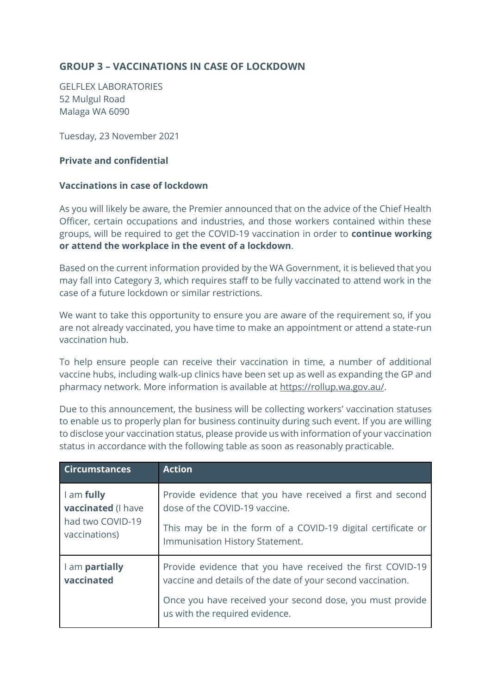## **GROUP 3 – VACCINATIONS IN CASE OF LOCKDOWN**

GELFLEX LABORATORIES 52 Mulgul Road Malaga WA 6090

Tuesday, 23 November 2021

## **Private and confidential**

## **Vaccinations in case of lockdown**

As you will likely be aware, the Premier announced that on the advice of the Chief Health Officer, certain occupations and industries, and those workers contained within these groups, will be required to get the COVID-19 vaccination in order to **continue working or attend the workplace in the event of a lockdown**.

Based on the current information provided by the WA Government, it is believed that you may fall into Category 3, which requires staff to be fully vaccinated to attend work in the case of a future lockdown or similar restrictions.

We want to take this opportunity to ensure you are aware of the requirement so, if you are not already vaccinated, you have time to make an appointment or attend a state-run vaccination hub.

To help ensure people can receive their vaccination in time, a number of additional vaccine hubs, including walk-up clinics have been set up as well as expanding the GP and pharmacy network. More information is available at [https://rollup.wa.gov.au/.](https://rollup.wa.gov.au/)

Due to this announcement, the business will be collecting workers' vaccination statuses to enable us to properly plan for business continuity during such event. If you are willing to disclose your vaccination status, please provide us with information of your vaccination status in accordance with the following table as soon as reasonably practicable.

| <b>Circumstances</b>                                                         | <b>Action</b>                                                                                                             |
|------------------------------------------------------------------------------|---------------------------------------------------------------------------------------------------------------------------|
| I am fully<br><b>vaccinated</b> (I have<br>had two COVID-19<br>vaccinations) | Provide evidence that you have received a first and second<br>dose of the COVID-19 vaccine.                               |
|                                                                              | This may be in the form of a COVID-19 digital certificate or<br>Immunisation History Statement.                           |
| I am partially<br>vaccinated                                                 | Provide evidence that you have received the first COVID-19<br>vaccine and details of the date of your second vaccination. |
|                                                                              | Once you have received your second dose, you must provide<br>us with the required evidence.                               |